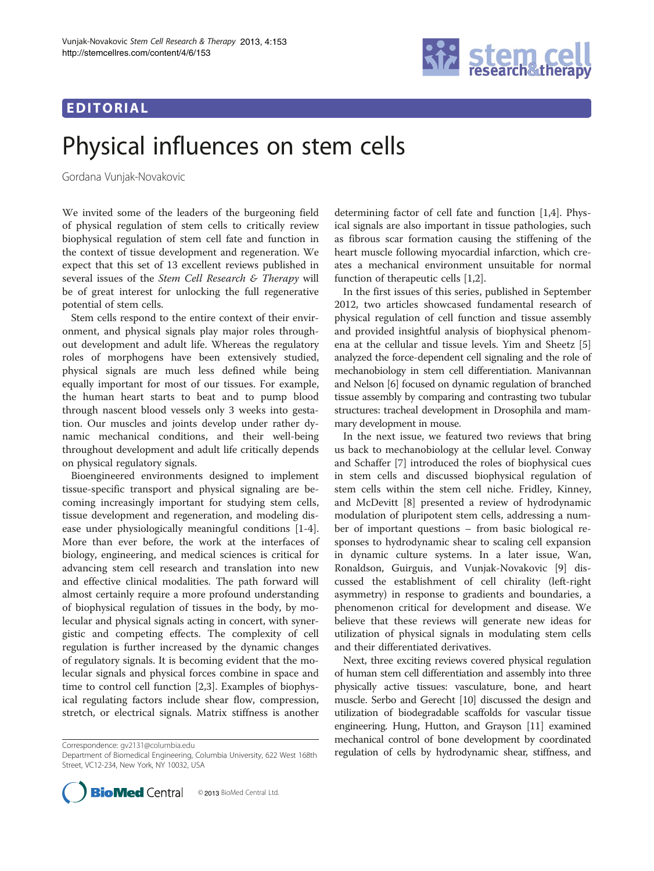## EDITORIAL



# Physical influences on stem cells

Gordana Vunjak-Novakovic

We invited some of the leaders of the burgeoning field of physical regulation of stem cells to critically review biophysical regulation of stem cell fate and function in the context of tissue development and regeneration. We expect that this set of 13 excellent reviews published in several issues of the Stem Cell Research & Therapy will be of great interest for unlocking the full regenerative potential of stem cells.

Stem cells respond to the entire context of their environment, and physical signals play major roles throughout development and adult life. Whereas the regulatory roles of morphogens have been extensively studied, physical signals are much less defined while being equally important for most of our tissues. For example, the human heart starts to beat and to pump blood through nascent blood vessels only 3 weeks into gestation. Our muscles and joints develop under rather dynamic mechanical conditions, and their well-being throughout development and adult life critically depends on physical regulatory signals.

Bioengineered environments designed to implement tissue-specific transport and physical signaling are becoming increasingly important for studying stem cells, tissue development and regeneration, and modeling disease under physiologically meaningful conditions [[1-4](#page-1-0)]. More than ever before, the work at the interfaces of biology, engineering, and medical sciences is critical for advancing stem cell research and translation into new and effective clinical modalities. The path forward will almost certainly require a more profound understanding of biophysical regulation of tissues in the body, by molecular and physical signals acting in concert, with synergistic and competing effects. The complexity of cell regulation is further increased by the dynamic changes of regulatory signals. It is becoming evident that the molecular signals and physical forces combine in space and time to control cell function [[2,3\]](#page-1-0). Examples of biophysical regulating factors include shear flow, compression, stretch, or electrical signals. Matrix stiffness is another

Department of Biomedical Engineering, Columbia University, 622 West 168th Street, VC12-234, New York, NY 10032, USA



determining factor of cell fate and function [[1,4\]](#page-1-0). Physical signals are also important in tissue pathologies, such as fibrous scar formation causing the stiffening of the heart muscle following myocardial infarction, which creates a mechanical environment unsuitable for normal function of therapeutic cells [[1,2\]](#page-1-0).

In the first issues of this series, published in September 2012, two articles showcased fundamental research of physical regulation of cell function and tissue assembly and provided insightful analysis of biophysical phenomena at the cellular and tissue levels. Yim and Sheetz [\[5](#page-1-0)] analyzed the force-dependent cell signaling and the role of mechanobiology in stem cell differentiation. Manivannan and Nelson [[6](#page-1-0)] focused on dynamic regulation of branched tissue assembly by comparing and contrasting two tubular structures: tracheal development in Drosophila and mammary development in mouse.

In the next issue, we featured two reviews that bring us back to mechanobiology at the cellular level. Conway and Schaffer [\[7](#page-1-0)] introduced the roles of biophysical cues in stem cells and discussed biophysical regulation of stem cells within the stem cell niche. Fridley, Kinney, and McDevitt [[8\]](#page-1-0) presented a review of hydrodynamic modulation of pluripotent stem cells, addressing a number of important questions – from basic biological responses to hydrodynamic shear to scaling cell expansion in dynamic culture systems. In a later issue, Wan, Ronaldson, Guirguis, and Vunjak-Novakovic [\[9](#page-1-0)] discussed the establishment of cell chirality (left-right asymmetry) in response to gradients and boundaries, a phenomenon critical for development and disease. We believe that these reviews will generate new ideas for utilization of physical signals in modulating stem cells and their differentiated derivatives.

Next, three exciting reviews covered physical regulation of human stem cell differentiation and assembly into three physically active tissues: vasculature, bone, and heart muscle. Serbo and Gerecht [\[10\]](#page-1-0) discussed the design and utilization of biodegradable scaffolds for vascular tissue engineering. Hung, Hutton, and Grayson [[11](#page-1-0)] examined mechanical control of bone development by coordinated Correspondence: [gv2131@columbia.edu](mailto:gv2131@columbia.edu)<br>Department of Biomedical Fngineering. Columbia University. 622 West 168th **regulation of cells by hydrodynamic shear, stiffness, and**